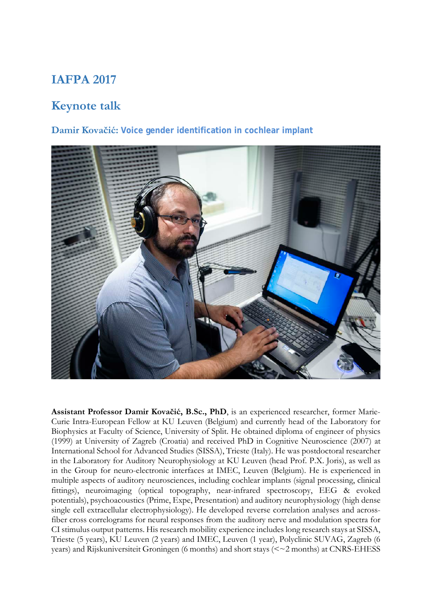## **IAFPA 2017**

# **Keynote talk**

## **Damir Kovačić: Voice gender identification in cochlear implant**



**Assistant Professor Damir Kovačić, B.Sc., PhD**, is an experienced researcher, former Marie-Curie Intra-European Fellow at KU Leuven (Belgium) and currently head of the Laboratory for Biophysics at Faculty of Science, University of Split. He obtained diploma of engineer of physics (1999) at University of Zagreb (Croatia) and received PhD in Cognitive Neuroscience (2007) at International School for Advanced Studies (SISSA), Trieste (Italy). He was postdoctoral researcher in the Laboratory for Auditory Neurophysiology at KU Leuven (head Prof. P.X. Joris), as well as in the Group for neuro-electronic interfaces at IMEC, Leuven (Belgium). He is experienced in multiple aspects of auditory neurosciences, including cochlear implants (signal processing, clinical fittings), neuroimaging (optical topography, near-infrared spectroscopy, EEG & evoked potentials), psychoacoustics (Prime, Expe, Presentation) and auditory neurophysiology (high dense single cell extracellular electrophysiology). He developed reverse correlation analyses and acrossfiber cross correlograms for neural responses from the auditory nerve and modulation spectra for CI stimulus output patterns. His research mobility experience includes long research stays at SISSA, Trieste (5 years), KU Leuven (2 years) and IMEC, Leuven (1 year), Polyclinic SUVAG, Zagreb (6 years) and Rijskuniversiteit Groningen (6 months) and short stays (<~2 months) at CNRS-EHESS